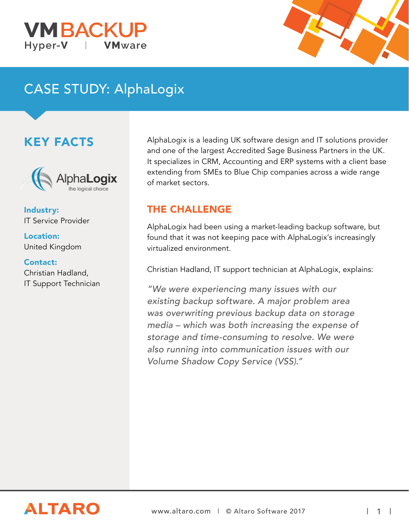#### **VM BACK** Hyper-**V VM**ware



# CASE STUDY: AlphaLogix

## KEY FACTS



Industry: IT Service Provider

Location: United Kingdom

#### Contact: Christian Hadland,

IT Support Technician

AlphaLogix is a leading UK software design and IT solutions provider and one of the largest Accredited Sage Business Partners in the UK. It specializes in CRM, Accounting and ERP systems with a client base extending from SMEs to Blue Chip companies across a wide range of market sectors.

#### THE CHALLENGE

AlphaLogix had been using a market-leading backup software, but found that it was not keeping pace with AlphaLogix's increasingly virtualized environment.

Christian Hadland, IT support technician at AlphaLogix, explains:

"We were experiencing many issues with our existing backup software. A major problem area was overwriting previous backup data on storage media – which was both increasing the expense of storage and time-consuming to resolve. We were also running into communication issues with our Volume Shadow Copy Service (VSS)."